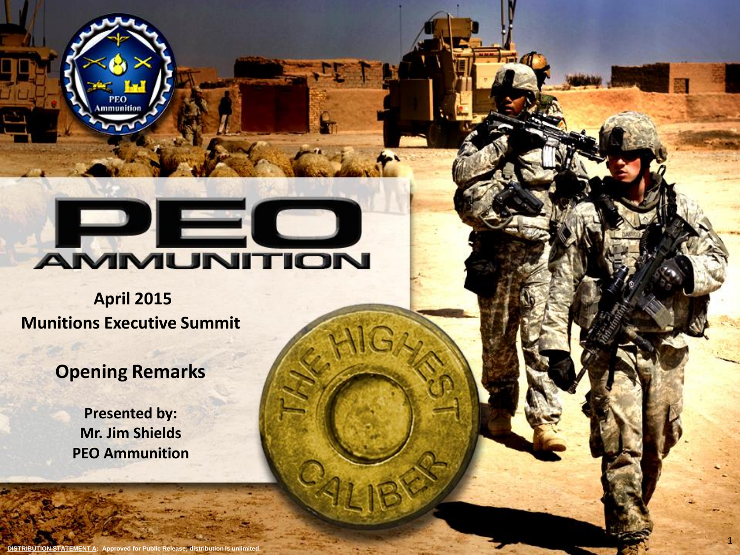# **DEC**

1

**April 2015 Munitions Executive Summit**

mmunition

# **Opening Remarks**

**Presented by: Mr. Jim Shields PEO Ammunition**

**DISTRIBUTION STATEMENT A:** Approved for Public Release; distribution is unlimited.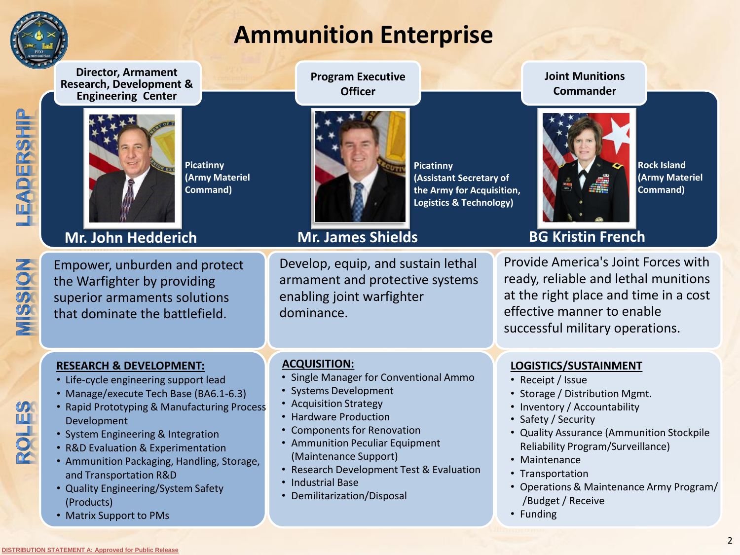

# **Ammunition Enterprise**

**Director, Armament Research, Development & Engineering Center**



**Picatinny (Army Materiel Command)**

## **Mr. John Hedderich Mr. James Shields**

ROLES

LEADERSHIP

Empower, unburden and protect the Warfighter by providing superior armaments solutions that dominate the battlefield.

### **RESEARCH & DEVELOPMENT:**

- Life-cycle engineering support lead
- Manage/execute Tech Base (BA6.1-6.3)
- Rapid Prototyping & Manufacturing Process Development
- System Engineering & Integration
- R&D Evaluation & Experimentation
- Ammunition Packaging, Handling, Storage, and Transportation R&D
- Quality Engineering/System Safety (Products)
- Matrix Support to PMs

**Program Executive Officer**



**Picatinny**

**(Assistant Secretary of the Army for Acquisition, Logistics & Technology)**

Develop, equip, and sustain lethal armament and protective systems enabling joint warfighter dominance.

### **ACQUISITION:**

- Single Manager for Conventional Ammo
- Systems Development
- Acquisition Strategy
- Hardware Production
- Components for Renovation
- Ammunition Peculiar Equipment (Maintenance Support)
- Research Development Test & Evaluation
- Industrial Base
- Demilitarization/Disposal

**Joint Munitions Commander**



**Rock Island (Army Materiel Command)**

**BG Kristin French**

Provide America's Joint Forces with ready, reliable and lethal munitions at the right place and time in a cost effective manner to enable successful military operations.

### **LOGISTICS/SUSTAINMENT**

- Receipt / Issue
- Storage / Distribution Mgmt.
- Inventory / Accountability
- Safety / Security
- Quality Assurance (Ammunition Stockpile Reliability Program/Surveillance)
- Maintenance
- Transportation
- Operations & Maintenance Army Program/ /Budget / Receive
- Funding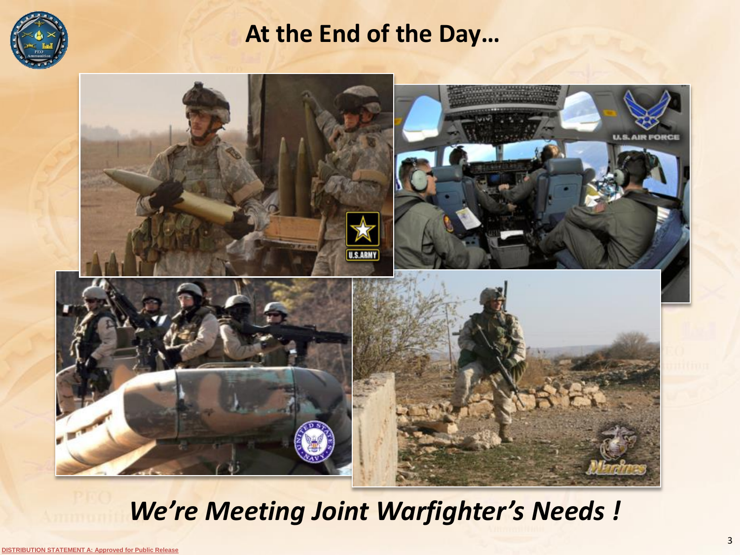

# **At the End of the Day…**



# *We're Meeting Joint Warfighter's Needs !*